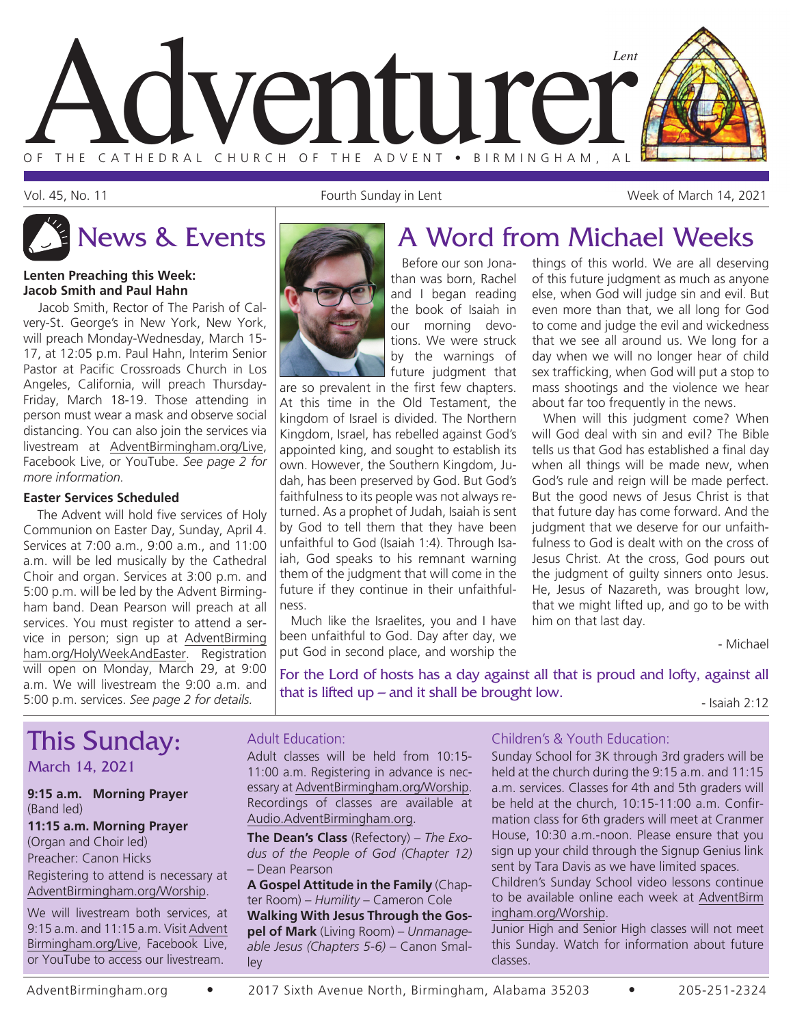

Vol. 45, No. 11 Fourth Sunday in Lent Week of March 14, 2021

#### **Lenten Preaching this Week: Jacob Smith and Paul Hahn**

Jacob Smith, Rector of The Parish of Calvery-St. George's in New York, New York, will preach Monday-Wednesday, March 15- 17, at 12:05 p.m. Paul Hahn, Interim Senior Pastor at Pacific Crossroads Church in Los Angeles, California, will preach Thursday-Friday, March 18-19. Those attending in person must wear a mask and observe social distancing. You can also join the services via livestream at AdventBirmingham.org/Live, Facebook Live, or YouTube. *See page 2 for more information.*

#### **Easter Services Scheduled**

The Advent will hold five services of Holy Communion on Easter Day, Sunday, April 4. Services at 7:00 a.m., 9:00 a.m., and 11:00 a.m. will be led musically by the Cathedral Choir and organ. Services at 3:00 p.m. and 5:00 p.m. will be led by the Advent Birmingham band. Dean Pearson will preach at all services. You must register to attend a service in person; sign up at AdventBirming ham.org/HolyWeekAndEaster. Registration will open on Monday, March 29, at 9:00 a.m. We will livestream the 9:00 a.m. and 5:00 p.m. services. *See page 2 for details.*



#### Before our son Jonathan was born, Rachel and I began reading the book of Isaiah in our morning devotions. We were struck by the warnings of future judgment that

are so prevalent in the first few chapters. At this time in the Old Testament, the kingdom of Israel is divided. The Northern Kingdom, Israel, has rebelled against God's appointed king, and sought to establish its own. However, the Southern Kingdom, Judah, has been preserved by God. But God's faithfulness to its people was not always returned. As a prophet of Judah, Isaiah is sent by God to tell them that they have been unfaithful to God (Isaiah 1:4). Through Isaiah, God speaks to his remnant warning them of the judgment that will come in the future if they continue in their unfaithfulness.

Much like the Israelites, you and I have been unfaithful to God. Day after day, we put God in second place, and worship the

### News & Events **A** Word from Michael Weeks

things of this world. We are all deserving of this future judgment as much as anyone else, when God will judge sin and evil. But even more than that, we all long for God to come and judge the evil and wickedness that we see all around us. We long for a day when we will no longer hear of child sex trafficking, when God will put a stop to mass shootings and the violence we hear about far too frequently in the news.

When will this judgment come? When will God deal with sin and evil? The Bible tells us that God has established a final day when all things will be made new, when God's rule and reign will be made perfect. But the good news of Jesus Christ is that that future day has come forward. And the judgment that we deserve for our unfaithfulness to God is dealt with on the cross of Jesus Christ. At the cross, God pours out the judgment of guilty sinners onto Jesus. He, Jesus of Nazareth, was brought low, that we might lifted up, and go to be with him on that last day.

- Michael

For the Lord of hosts has a day against all that is proud and lofty, against all that is lifted up – and it shall be brought low.<br> $-$  Isaiah 2:12

### This Sunday:

March 14, 2021

#### **9:15 a.m. Morning Prayer** (Band led)

#### **11:15 a.m. Morning Prayer**

(Organ and Choir led) Preacher: Canon Hicks Registering to attend is necessary at AdventBirmingham.org/Worship.

We will livestream both services, at 9:15 a.m. and 11:15 a.m. Visit Advent Birmingham.org/Live, Facebook Live, or YouTube to access our livestream.

#### Adult Education:

Adult classes will be held from 10:15- 11:00 a.m. Registering in advance is necessary at AdventBirmingham.org/Worship. Recordings of classes are available at Audio.AdventBirmingham.org.

**The Dean's Class** (Refectory) – *The Exodus of the People of God (Chapter 12)* – Dean Pearson

**A Gospel Attitude in the Family** (Chapter Room) – *Humility* – Cameron Cole **Walking With Jesus Through the Gos-**

**pel of Mark** (Living Room) – *Unmanageable Jesus (Chapters 5-6)* – Canon Smalley

#### Children's & Youth Education:

Sunday School for 3K through 3rd graders will be held at the church during the 9:15 a.m. and 11:15 a.m. services. Classes for 4th and 5th graders will be held at the church, 10:15-11:00 a.m. Confirmation class for 6th graders will meet at Cranmer House, 10:30 a.m.-noon. Please ensure that you sign up your child through the Signup Genius link sent by Tara Davis as we have limited spaces.

Children's Sunday School video lessons continue to be available online each week at AdventBirm ingham.org/Worship.

Junior High and Senior High classes will not meet this Sunday. Watch for information about future classes.

AdventBirmingham.org • 2017 Sixth Avenue North, Birmingham, Alabama 35203 • 205-251-2324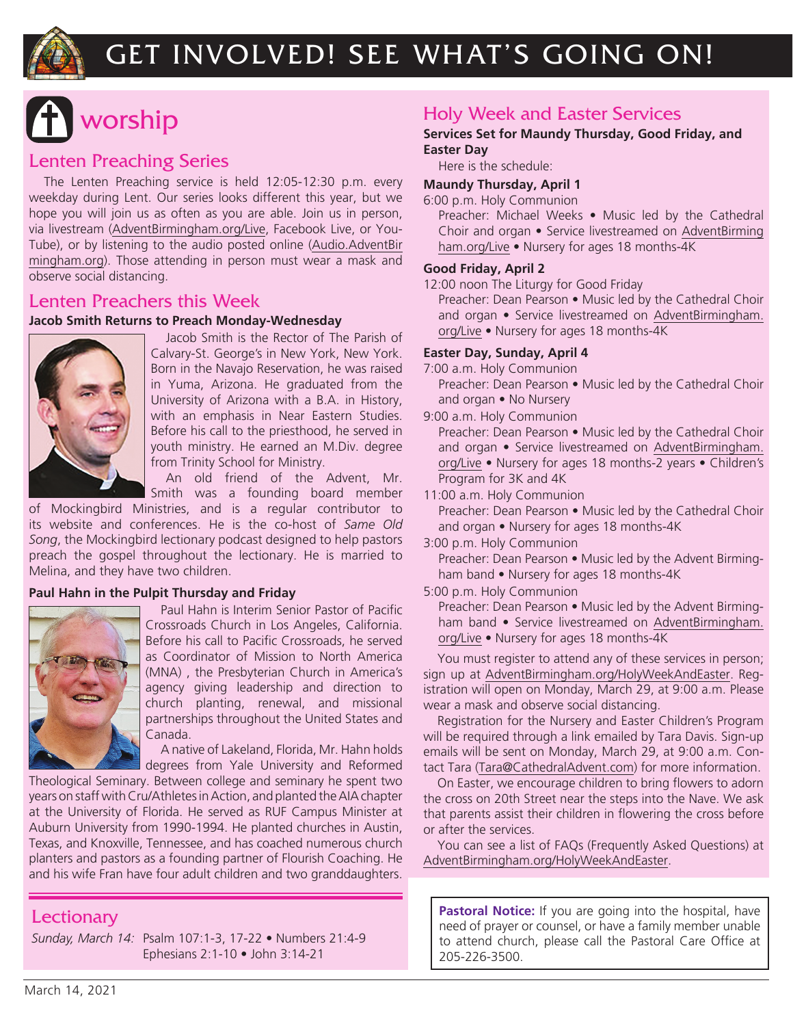

## GET INVOLVED! SEE WHAT'S GOING ON!

## worship

#### Lenten Preaching Series

The Lenten Preaching service is held 12:05-12:30 p.m. every weekday during Lent. Our series looks different this year, but we hope you will join us as often as you are able. Join us in person, via livestream (AdventBirmingham.org/Live, Facebook Live, or You-Tube), or by listening to the audio posted online (Audio.AdventBir mingham.org). Those attending in person must wear a mask and observe social distancing.

#### Lenten Preachers this Week

#### **Jacob Smith Returns to Preach Monday-Wednesday**



Jacob Smith is the Rector of The Parish of Calvary-St. George's in New York, New York. Born in the Navajo Reservation, he was raised in Yuma, Arizona. He graduated from the University of Arizona with a B.A. in History, with an emphasis in Near Eastern Studies. Before his call to the priesthood, he served in youth ministry. He earned an M.Div. degree from Trinity School for Ministry.

An old friend of the Advent, Mr. Smith was a founding board member

of Mockingbird Ministries, and is a regular contributor to its website and conferences. He is the co-host of *Same Old Song*, the Mockingbird lectionary podcast designed to help pastors preach the gospel throughout the lectionary. He is married to Melina, and they have two children.

#### **Paul Hahn in the Pulpit Thursday and Friday**



Paul Hahn is Interim Senior Pastor of Pacific Crossroads Church in Los Angeles, California. Before his call to Pacific Crossroads, he served as Coordinator of Mission to North America (MNA) , the Presbyterian Church in America's agency giving leadership and direction to church planting, renewal, and missional partnerships throughout the United States and Canada.

A native of Lakeland, Florida, Mr. Hahn holds degrees from Yale University and Reformed

Theological Seminary. Between college and seminary he spent two years on staff with Cru/Athletes in Action, and planted the AIA chapter at the University of Florida. He served as RUF Campus Minister at Auburn University from 1990-1994. He planted churches in Austin, Texas, and Knoxville, Tennessee, and has coached numerous church planters and pastors as a founding partner of Flourish Coaching. He and his wife Fran have four adult children and two granddaughters.

#### **Lectionary**

*Sunday, March 14:* Psalm 107:1-3, 17-22 • Numbers 21:4-9 Ephesians 2:1-10 • John 3:14-21

#### Holy Week and Easter Services

#### **Services Set for Maundy Thursday, Good Friday, and Easter Day**

Here is the schedule:

#### **Maundy Thursday, April 1**

6:00 p.m. Holy Communion

Preacher: Michael Weeks • Music led by the Cathedral Choir and organ • Service livestreamed on AdventBirming ham.org/Live • Nursery for ages 18 months-4K

#### **Good Friday, April 2**

12:00 noon The Liturgy for Good Friday

Preacher: Dean Pearson • Music led by the Cathedral Choir and organ • Service livestreamed on AdventBirmingham. org/Live • Nursery for ages 18 months-4K

#### **Easter Day, Sunday, April 4**

7:00 a.m. Holy Communion

Preacher: Dean Pearson • Music led by the Cathedral Choir and organ • No Nursery

9:00 a.m. Holy Communion

Preacher: Dean Pearson • Music led by the Cathedral Choir and organ • Service livestreamed on AdventBirmingham. org/Live • Nursery for ages 18 months-2 years • Children's Program for 3K and 4K

11:00 a.m. Holy Communion

Preacher: Dean Pearson • Music led by the Cathedral Choir and organ • Nursery for ages 18 months-4K

#### 3:00 p.m. Holy Communion

Preacher: Dean Pearson • Music led by the Advent Birmingham band • Nursery for ages 18 months-4K

5:00 p.m. Holy Communion

Preacher: Dean Pearson • Music led by the Advent Birmingham band • Service livestreamed on AdventBirmingham. org/Live • Nursery for ages 18 months-4K

You must register to attend any of these services in person; sign up at AdventBirmingham.org/HolyWeekAndEaster. Registration will open on Monday, March 29, at 9:00 a.m. Please wear a mask and observe social distancing.

Registration for the Nursery and Easter Children's Program will be required through a link emailed by Tara Davis. Sign-up emails will be sent on Monday, March 29, at 9:00 a.m. Contact Tara (Tara@CathedralAdvent.com) for more information.

On Easter, we encourage children to bring flowers to adorn the cross on 20th Street near the steps into the Nave. We ask that parents assist their children in flowering the cross before or after the services.

You can see a list of FAQs (Frequently Asked Questions) at AdventBirmingham.org/HolyWeekAndEaster.

**Pastoral Notice:** If you are going into the hospital, have need of prayer or counsel, or have a family member unable to attend church, please call the Pastoral Care Office at 205-226-3500.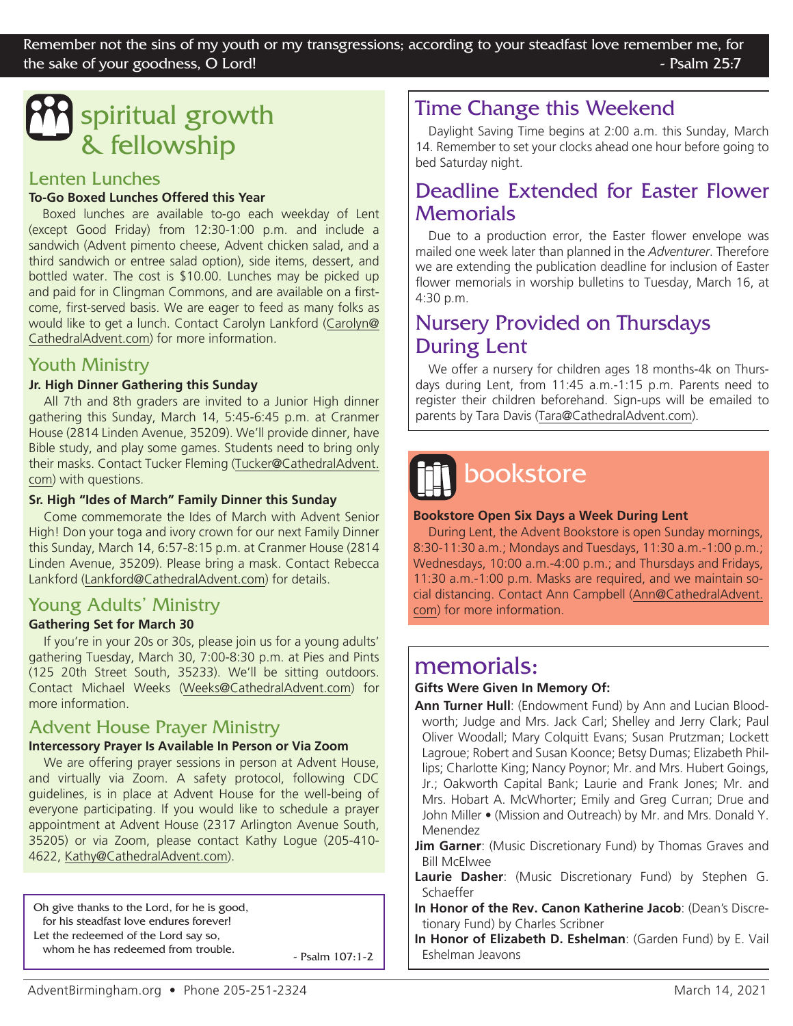## spiritual growth & fellowship

#### Lenten Lunches

#### **To-Go Boxed Lunches Offered this Year**

Boxed lunches are available to-go each weekday of Lent (except Good Friday) from 12:30-1:00 p.m. and include a sandwich (Advent pimento cheese, Advent chicken salad, and a third sandwich or entree salad option), side items, dessert, and bottled water. The cost is \$10.00. Lunches may be picked up and paid for in Clingman Commons, and are available on a firstcome, first-served basis. We are eager to feed as many folks as would like to get a lunch. Contact Carolyn Lankford (Carolyn@ CathedralAdvent.com) for more information.

#### Youth Ministry

#### **Jr. High Dinner Gathering this Sunday**

All 7th and 8th graders are invited to a Junior High dinner gathering this Sunday, March 14, 5:45-6:45 p.m. at Cranmer House (2814 Linden Avenue, 35209). We'll provide dinner, have Bible study, and play some games. Students need to bring only their masks. Contact Tucker Fleming (Tucker@CathedralAdvent. com) with questions.

#### **Sr. High "Ides of March" Family Dinner this Sunday**

Come commemorate the Ides of March with Advent Senior High! Don your toga and ivory crown for our next Family Dinner this Sunday, March 14, 6:57-8:15 p.m. at Cranmer House (2814 Linden Avenue, 35209). Please bring a mask. Contact Rebecca Lankford (Lankford@CathedralAdvent.com) for details.

#### Young Adults' Ministry

#### **Gathering Set for March 30**

If you're in your 20s or 30s, please join us for a young adults' gathering Tuesday, March 30, 7:00-8:30 p.m. at Pies and Pints (125 20th Street South, 35233). We'll be sitting outdoors. Contact Michael Weeks (Weeks@CathedralAdvent.com) for more information.

#### Advent House Prayer Ministry

#### **Intercessory Prayer Is Available In Person or Via Zoom**

We are offering prayer sessions in person at Advent House, and virtually via Zoom. A safety protocol, following CDC guidelines, is in place at Advent House for the well-being of everyone participating. If you would like to schedule a prayer appointment at Advent House (2317 Arlington Avenue South, 35205) or via Zoom, please contact Kathy Logue (205-410- 4622, Kathy@CathedralAdvent.com).

Oh give thanks to the Lord, for he is good, for his steadfast love endures forever! Let the redeemed of the Lord say so, whom he has redeemed from trouble.  $\sim$  Psalm 107:1-2

### Time Change this Weekend

Daylight Saving Time begins at 2:00 a.m. this Sunday, March 14. Remember to set your clocks ahead one hour before going to bed Saturday night.

### Deadline Extended for Easter Flower **Memorials**

Due to a production error, the Easter flower envelope was mailed one week later than planned in the *Adventurer*. Therefore we are extending the publication deadline for inclusion of Easter flower memorials in worship bulletins to Tuesday, March 16, at 4:30 p.m.

### Nursery Provided on Thursdays During Lent

We offer a nursery for children ages 18 months-4k on Thursdays during Lent, from 11:45 a.m.-1:15 p.m. Parents need to register their children beforehand. Sign-ups will be emailed to parents by Tara Davis (Tara@CathedralAdvent.com).

# bookstore

#### **Bookstore Open Six Days a Week During Lent**

During Lent, the Advent Bookstore is open Sunday mornings, 8:30-11:30 a.m.; Mondays and Tuesdays, 11:30 a.m.-1:00 p.m.; Wednesdays, 10:00 a.m.-4:00 p.m.; and Thursdays and Fridays, 11:30 a.m.-1:00 p.m. Masks are required, and we maintain social distancing. Contact Ann Campbell (Ann@CathedralAdvent. com) for more information.

### memorials:

#### **Gifts Were Given In Memory Of:**

- **Ann Turner Hull**: (Endowment Fund) by Ann and Lucian Bloodworth; Judge and Mrs. Jack Carl; Shelley and Jerry Clark; Paul Oliver Woodall; Mary Colquitt Evans; Susan Prutzman; Lockett Lagroue; Robert and Susan Koonce; Betsy Dumas; Elizabeth Phillips; Charlotte King; Nancy Poynor; Mr. and Mrs. Hubert Goings, Jr.; Oakworth Capital Bank; Laurie and Frank Jones; Mr. and Mrs. Hobart A. McWhorter; Emily and Greg Curran; Drue and John Miller • (Mission and Outreach) by Mr. and Mrs. Donald Y. Menendez
- **Jim Garner**: (Music Discretionary Fund) by Thomas Graves and Bill McElwee
- **Laurie Dasher**: (Music Discretionary Fund) by Stephen G. Schaeffer
- **In Honor of the Rev. Canon Katherine Jacob**: (Dean's Discretionary Fund) by Charles Scribner
- **In Honor of Elizabeth D. Eshelman**: (Garden Fund) by E. Vail Eshelman Jeavons